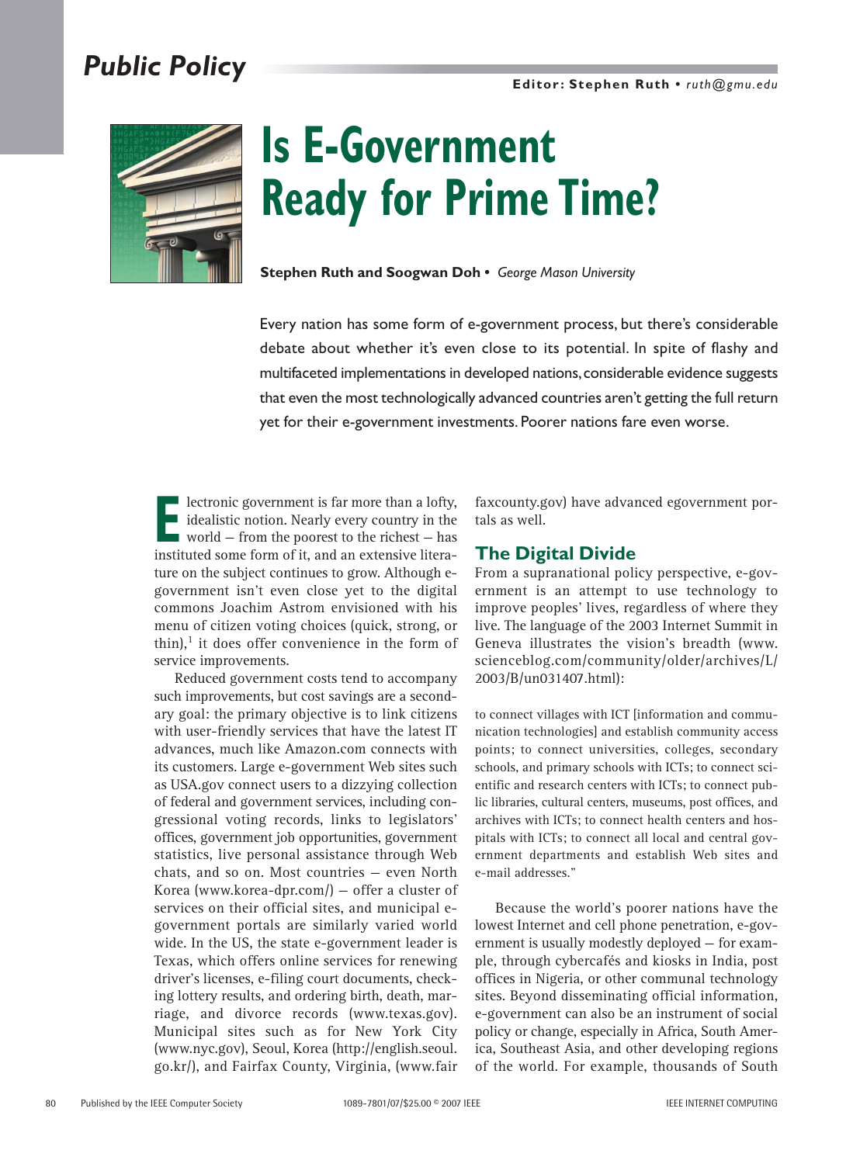# *Public Policy*



# **Is E-Government Ready for Prime Time?**

**Stephen Ruth and Soogwan Doh •** *George Mason University*

Every nation has some form of e-government process, but there's considerable debate about whether it's even close to its potential. In spite of flashy and multifaceted implementations in developed nations,considerable evidence suggests that even the most technologically advanced countries aren't getting the full return yet for their e-government investments. Poorer nations fare even worse.

**Exercise** extending in the second to the idealistic notion. Nearly every country in the world – from the poorest to the richest – has instituted some form of it, and an extensive literal idealistic notion. Nearly every country in the world — from the poorest to the richest — has instituted some form of it, and an extensive literature on the subject continues to grow. Although egovernment isn't even close yet to the digital commons Joachim Astrom envisioned with his menu of citizen voting choices (quick, strong, or thin), $<sup>1</sup>$  it does offer convenience in the form of</sup> service improvements.

Reduced government costs tend to accompany such improvements, but cost savings are a secondary goal: the primary objective is to link citizens with user-friendly services that have the latest IT advances, much like Amazon.com connects with its customers. Large e-government Web sites such as USA.gov connect users to a dizzying collection of federal and government services, including congressional voting records, links to legislators' offices, government job opportunities, government statistics, live personal assistance through Web chats, and so on. Most countries — even North Korea (www.korea-dpr.com/) — offer a cluster of services on their official sites, and municipal egovernment portals are similarly varied world wide. In the US, the state e-government leader is Texas, which offers online services for renewing driver's licenses, e-filing court documents, checking lottery results, and ordering birth, death, marriage, and divorce records (www.texas.gov). Municipal sites such as for New York City (www.nyc.gov), Seoul, Korea (http://english.seoul. go.kr/), and Fairfax County, Virginia, (www.fair

faxcounty.gov) have advanced egovernment portals as well.

#### **The Digital Divide**

From a supranational policy perspective, e-government is an attempt to use technology to improve peoples' lives, regardless of where they live. The language of the 2003 Internet Summit in Geneva illustrates the vision's breadth (www. scienceblog.com/community/older/archives/L/ 2003/B/un031407.html):

to connect villages with ICT [information and communication technologies] and establish community access points; to connect universities, colleges, secondary schools, and primary schools with ICTs; to connect scientific and research centers with ICTs; to connect public libraries, cultural centers, museums, post offices, and archives with ICTs; to connect health centers and hospitals with ICTs; to connect all local and central government departments and establish Web sites and e-mail addresses."

Because the world's poorer nations have the lowest Internet and cell phone penetration, e-government is usually modestly deployed — for example, through cybercafés and kiosks in India, post offices in Nigeria, or other communal technology sites. Beyond disseminating official information, e-government can also be an instrument of social policy or change, especially in Africa, South America, Southeast Asia, and other developing regions of the world. For example, thousands of South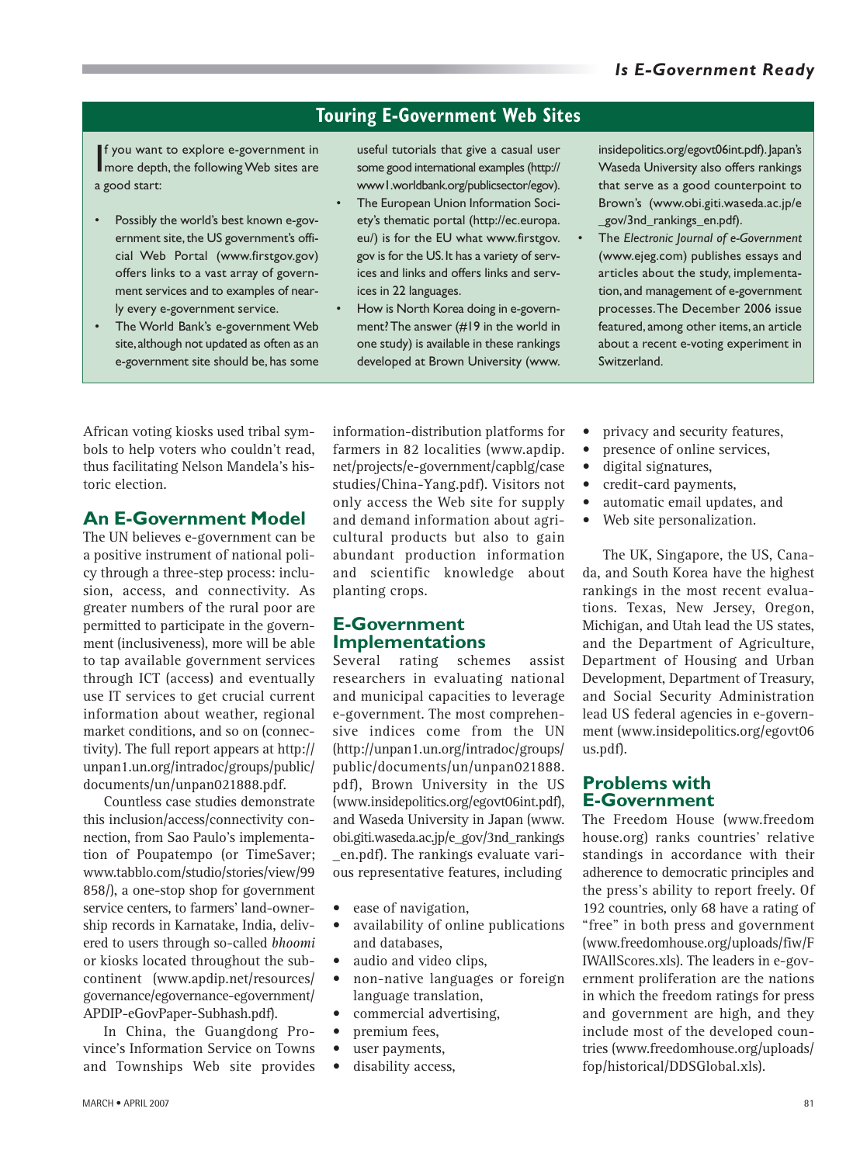## **Touring E-Government Web Sites**

If you want to explore e-government in<br>more depth, the following Web sites are f you want to explore e-government in a good start:

- Possibly the world's best known e-government site, the US government's official Web Portal (www.firstgov.gov) offers links to a vast array of government services and to examples of nearly every e-government service.
- The World Bank's e-government Web site,although not updated as often as an e-government site should be, has some

useful tutorials that give a casual user some good international examples (http:// www1.worldbank.org/publicsector/egov).

- The European Union Information Society's thematic portal (http://ec.europa. eu/) is for the EU what www.firstgov. gov is for the US.It has a variety of services and links and offers links and services in 22 languages.
- How is North Korea doing in e-government? The answer (#19 in the world in one study) is available in these rankings developed at Brown University (www.

insidepolitics.org/egovt06int.pdf). Japan's Waseda University also offers rankings that serve as a good counterpoint to Brown's (www.obi.giti.waseda.ac.jp/e gov/3nd\_rankings\_en.pdf).

• The *Electronic Journal of e-Government* (www.ejeg.com) publishes essays and articles about the study, implementation,and management of e-government processes.The December 2006 issue featured, among other items, an article about a recent e-voting experiment in Switzerland.

African voting kiosks used tribal symbols to help voters who couldn't read, thus facilitating Nelson Mandela's historic election.

#### **An E-Government Model**

The UN believes e-government can be a positive instrument of national policy through a three-step process: inclusion, access, and connectivity. As greater numbers of the rural poor are permitted to participate in the government (inclusiveness), more will be able to tap available government services through ICT (access) and eventually use IT services to get crucial current information about weather, regional market conditions, and so on (connectivity). The full report appears at http:// unpan1.un.org/intradoc/groups/public/ documents/un/unpan021888.pdf.

Countless case studies demonstrate this inclusion/access/connectivity connection, from Sao Paulo's implementation of Poupatempo (or TimeSaver; www.tabblo.com/studio/stories/view/99 858/), a one-stop shop for government service centers, to farmers' land-ownership records in Karnatake, India, delivered to users through so-called *bhoomi* or kiosks located throughout the subcontinent (www.apdip.net/resources/ governance/egovernance-egovernment/ APDIP-eGovPaper-Subhash.pdf).

In China, the Guangdong Province's Information Service on Towns and Townships Web site provides information-distribution platforms for farmers in 82 localities (www.apdip. net/projects/e-government/capblg/case studies/China-Yang.pdf). Visitors not only access the Web site for supply and demand information about agricultural products but also to gain abundant production information and scientific knowledge about planting crops.

#### **E-Government Implementations**

Several rating schemes assist researchers in evaluating national and municipal capacities to leverage e-government. The most comprehensive indices come from the UN (http://unpan1.un.org/intradoc/groups/ public/documents/un/unpan021888. pdf), Brown University in the US (www.insidepolitics.org/egovt06int.pdf), and Waseda University in Japan (www. obi.giti.waseda.ac.jp/e\_gov/3nd\_rankings \_en.pdf). The rankings evaluate various representative features, including

- ease of navigation,
- availability of online publications and databases,
- audio and video clips,
- non-native languages or foreign language translation,
- commercial advertising,
- premium fees,
- user payments,
- disability access,
- privacy and security features,
- presence of online services,
- digital signatures,
- credit-card payments,
- automatic email updates, and
- Web site personalization.

The UK, Singapore, the US, Canada, and South Korea have the highest rankings in the most recent evaluations. Texas, New Jersey, Oregon, Michigan, and Utah lead the US states, and the Department of Agriculture, Department of Housing and Urban Development, Department of Treasury, and Social Security Administration lead US federal agencies in e-government (www.insidepolitics.org/egovt06 us.pdf).

#### **Problems with E-Government**

The Freedom House (www.freedom house.org) ranks countries' relative standings in accordance with their adherence to democratic principles and the press's ability to report freely. Of 192 countries, only 68 have a rating of "free" in both press and government (www.freedomhouse.org/uploads/fiw/F IWAllScores.xls). The leaders in e-government proliferation are the nations in which the freedom ratings for press and government are high, and they include most of the developed countries (www.freedomhouse.org/uploads/ fop/historical/DDSGlobal.xls).